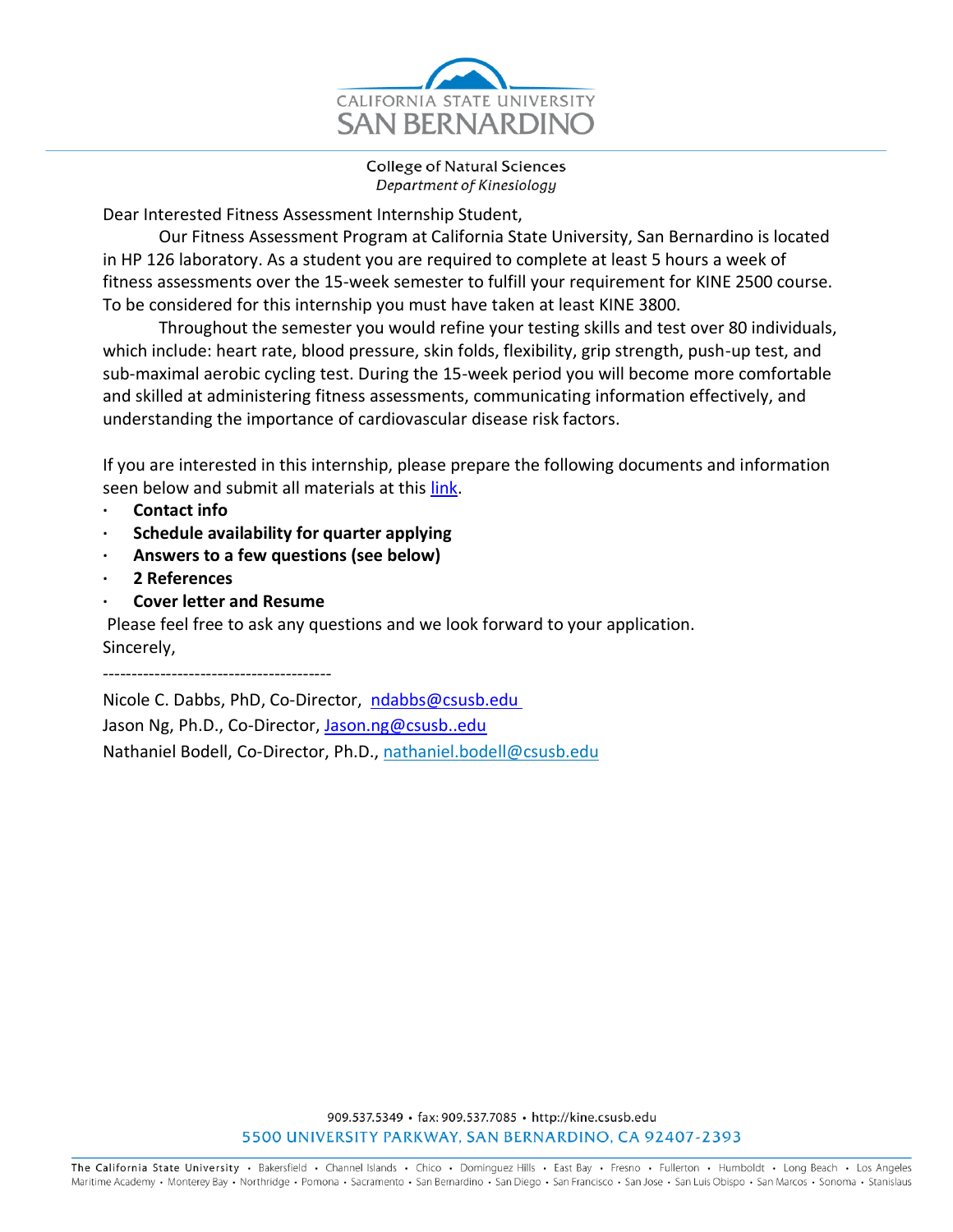

**College of Natural Sciences** Department of Kinesiology

Dear Interested Fitness Assessment Internship Student,

Our Fitness Assessment Program at California State University, San Bernardino is located in HP 126 laboratory. As a student you are required to complete at least 5 hours a week of fitness assessments over the 15-week semester to fulfill your requirement for KINE 2500 course. To be considered for this internship you must have taken at least KINE 3800.

Throughout the semester you would refine your testing skills and test over 80 individuals, which include: heart rate, blood pressure, skin folds, flexibility, grip strength, push-up test, and sub-maximal aerobic cycling test. During the 15-week period you will become more comfortable and skilled at administering fitness assessments, communicating information effectively, and understanding the importance of cardiovascular disease risk factors.

If you are interested in this internship, please prepare the following documents and information seen below and submit all materials at this [link.](http://csusb.az1.qualtrics.com/jfe/form/SV_erJAnuICM33SJJb)

- **· Contact info**
- **· Schedule availability for quarter applying**
- **· Answers to a few questions (see below)**
- **· 2 References**
- **· Cover letter and Resume**

Please feel free to ask any questions and we look forward to your application. Sincerely,

----------------------------------------

Nicole C. Dabbs, PhD, Co-Director, [ndabbs@csusb.edu](mailto:pcosta@csusb.edu)  Jason Ng, Ph.D., Co-Director, [Jason.ng@csusb..edu](mailto:Jason.ng@csusb..edu) Nathaniel Bodell, Co-Director, Ph.D., [nathaniel.bodell@csusb.edu](mailto:nathaniel.bodell@csusb.edu)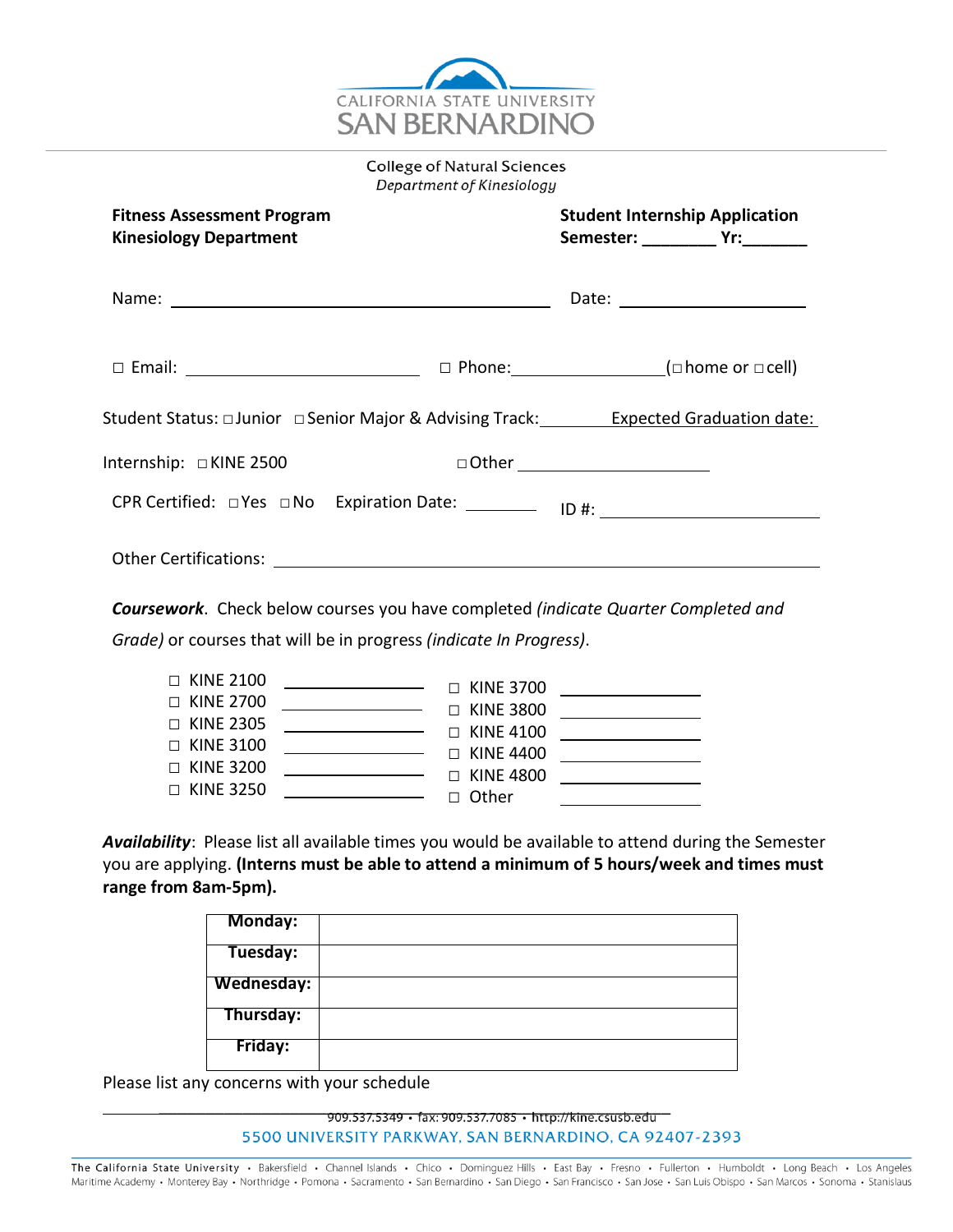

**College of Natural Sciences** Department of Kinesiology

| <b>Fitness Assessment Program</b><br><b>Kinesiology Department</b>                               |  | <b>Student Internship Application</b> |
|--------------------------------------------------------------------------------------------------|--|---------------------------------------|
|                                                                                                  |  | Date: _______________________         |
|                                                                                                  |  |                                       |
| Student Status: □ Junior □ Senior Major & Advising Track: Kana Expected Graduation date:         |  |                                       |
| Internship: □KINE 2500                                                                           |  |                                       |
| CPR Certified: □ Yes □ No Expiration Date: ___________ ID #: ___________________                 |  |                                       |
|                                                                                                  |  |                                       |
| <b>Coursework.</b> Check below courses you have completed <i>(indicate Quarter Completed and</i> |  |                                       |

*Grade)* or courses that will be in progress *(indicate In Progress)*.

| $\Box$ KINE 2100 | the contract of the contract of the contract of the contract of the contract of | $\Box$ KINE 3700 |  |
|------------------|---------------------------------------------------------------------------------|------------------|--|
| $\Box$ KINE 2700 | the contract of the contract of the contract of                                 | $\Box$ KINE 3800 |  |
| $\Box$ KINE 2305 | <u> 1989 - Johann Barnett, fransk politiker (</u>                               | $\Box$ KINE 4100 |  |
| $\Box$ KINE 3100 | $\overline{\phantom{a}}$ . The contract of $\overline{\phantom{a}}$             | $\Box$ KINE 4400 |  |
| $\Box$ KINE 3200 |                                                                                 | $\Box$ KINE 4800 |  |
| $\Box$ KINE 3250 | <u> 1989 - Johann Barnett, fransk kongresu</u>                                  | $\Box$ Other     |  |

*Availability*: Please list all available times you would be available to attend during the Semester you are applying. **(Interns must be able to attend a minimum of 5 hours/week and times must range from 8am-5pm).**

| Monday:    |  |
|------------|--|
| Tuesday:   |  |
| Wednesday: |  |
| Thursday:  |  |
| Friday:    |  |

Please list any concerns with your schedule

909.537.5349 • fax: 909.537.7085 • http://kine.csusb.edu 5500 UNIVERSITY PARKWAY, SAN BERNARDINO, CA 92407-2393

The California State University · Bakersfield · Channel Islands · Chico · Dominguez Hills · East Bay · Fresno · Fullerton · Humboldt · Long Beach · Los Angeles Maritime Academy · Monterey Bay · Northridge · Pomona · Sacramento · San Bernardino · San Diego · San Francisco · San Jose · San Luis Obispo · San Marcos · Sonoma · Stanislaus